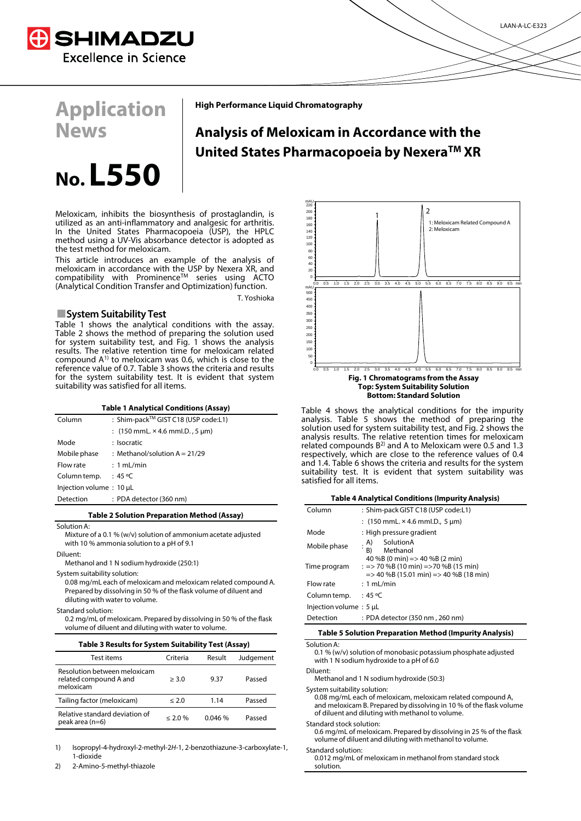

**Application** 

**News**

**High Performance Liquid Chromatography**

## **Analysis of Meloxicam in Accordance with the United States Pharmacopoeia by NexeraTM XR**

# **No. L550**

Meloxicam, inhibits the biosynthesis of prostaglandin, is utilized as an anti-inflammatory and analgesic for arthritis. In the United States Pharmacopoeia (USP), the HPLC method using a UV-Vis absorbance detector is adopted as the test method for meloxicam.

This article introduces an example of the analysis of meloxicam in accordance with the USP by Nexera XR, and compatibility with ProminenceTM series using ACTO (Analytical Condition Transfer and Optimization) function.

T. Yoshioka

### **System Suitability Test**

Table 1 shows the analytical conditions with the assay. Table 2 shows the method of preparing the solution used for system suitability test, and Fig. 1 shows the analysis results. The relative retention time for meloxicam related compound A1) to meloxicam was 0.6, which is close to the reference value of 0.7. Table 3 shows the criteria and results for the system suitability test. It is evident that system suitability was satisfied for all items.

#### **Table 1 Analytical Conditions (Assay)**

| Column                  | : Shim-pack™ GIST C18 (USP code:L1)                                        |
|-------------------------|----------------------------------------------------------------------------|
|                         | : $(150 \text{ mmL} \times 4.6 \text{ mmL} \cdot D \cdot 5 \text{ \mu m})$ |
| Mode                    | : Isocratic                                                                |
| Mobile phase            | : Methanol/solution $A = 21/29$                                            |
| Flow rate               | : 1 mL/min                                                                 |
| Column temp.            | $:45^{\circ}$ C                                                            |
| Injection volume: 10 µL |                                                                            |
| Detection               | : PDA detector (360 nm)                                                    |

#### **Table 2 Solution Preparation Method (Assay)**

Solution A:

Mixture of a 0.1 % (w/v) solution of ammonium acetate adjusted with 10 % ammonia solution to a pH of 9.1

Diluent:

Methanol and 1 N sodium hydroxide (250:1)

System suitability solution:

0.08 mg/mL each of meloxicam and meloxicam related compound A. Prepared by dissolving in 50 % of the flask volume of diluent and diluting with water to volume.

Standard solution:

0.2 mg/mL of meloxicam. Prepared by dissolving in 50 % of the flask volume of diluent and diluting with water to volume.

| Table 3 Results for System Suitability Test (Assay)                 |               |        |           |  |  |
|---------------------------------------------------------------------|---------------|--------|-----------|--|--|
| Test items                                                          | Criteria      | Result | Judgement |  |  |
| Resolution between meloxicam<br>related compound A and<br>meloxicam | > 3.0         | 9.37   | Passed    |  |  |
| Tailing factor (meloxicam)                                          | $\leq 2.0$    | 1.14   | Passed    |  |  |
| Relative standard deviation of<br>peak area (n=6)                   | $\leq 2.0 \%$ | 0.046% | Passed    |  |  |

1) Isopropyl-4-hydroxyl-2-methyl-2H-1, 2-benzothiazune-3-carboxylate-1, 1-dioxide

2) 2-Amino-5-methyl-thiazole



Table 4 shows the analytical conditions for the impurity analysis. Table 5 shows the method of preparing the solution used for system suitability test, and Fig. 2 shows the analysis results. The relative retention times for meloxicam related compounds  $B^{2}$  and A to Meloxicam were 0.5 and 1.3 respectively, which are close to the reference values of 0.4 and 1.4. Table 6 shows the criteria and results for the system suitability test. It is evident that system suitability was satisfied for all items.

| <b>Table 4 Analytical Conditions (Impurity Analysis)</b>       |                                                                                                                                               |  |  |  |
|----------------------------------------------------------------|-----------------------------------------------------------------------------------------------------------------------------------------------|--|--|--|
| Column                                                         | : Shim-pack GIST C18 (USP code:L1)                                                                                                            |  |  |  |
|                                                                | : $(150 \text{ mmL} \times 4.6 \text{ mmL} \cdot D, 5 \text{ µm})$                                                                            |  |  |  |
| Mode                                                           | : High pressure gradient                                                                                                                      |  |  |  |
| Mobile phase                                                   | SolutionA<br>A)<br>Methanol<br>R)                                                                                                             |  |  |  |
| Time program                                                   | 40 %B (0 min) $\approx$ 40 %B (2 min)<br>: => 70 %B (10 min) =>70 %B (15 min)<br>$\Rightarrow$ 40 %B (15.01 min) $\Rightarrow$ 40 %B (18 min) |  |  |  |
| Flow rate                                                      | : 1 mL/min                                                                                                                                    |  |  |  |
| Column temp.                                                   | $:45^{\circ}$ C                                                                                                                               |  |  |  |
| Injection volume: 5 µL                                         |                                                                                                                                               |  |  |  |
| Detection                                                      | : PDA detector (350 nm, 260 nm)                                                                                                               |  |  |  |
| <b>Table 5 Solution Preparation Method (Impurity Analysis)</b> |                                                                                                                                               |  |  |  |

Solution A: 0.1 % (w/v) solution of monobasic potassium phosphate adjusted with 1 N sodium hydroxide to a pH of 6.0

Diluent:

Methanol and 1 N sodium hydroxide (50:3)

System suitability solution:

0.08 mg/mL each of meloxicam, meloxicam related compound A, and meloxicam B. Prepared by dissolving in 10 % of the flask volume of diluent and diluting with methanol to volume.

Standard stock solution:

0.6 mg/mL of meloxicam. Prepared by dissolving in 25 % of the flask volume of diluent and diluting with methanol to volume.

Standard solution:

0.012 mg/mL of meloxicam in methanol from standard stock solution.